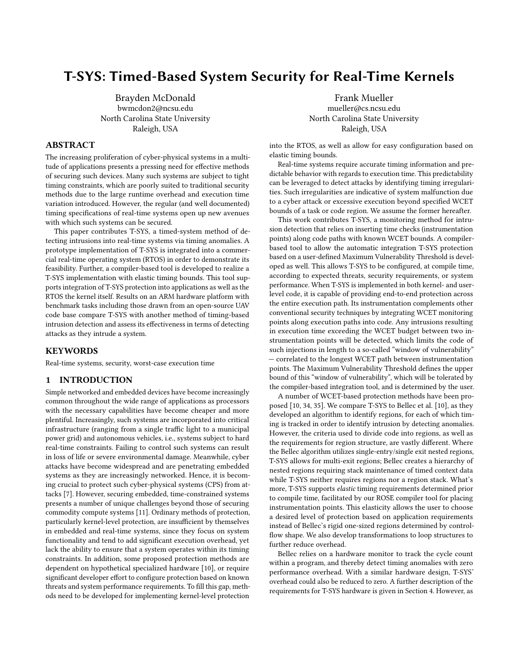# T-SYS: Timed-Based System Security for Real-Time Kernels

Brayden McDonald bwmcdon2@ncsu.edu North Carolina State University Raleigh, USA

## ABSTRACT

The increasing proliferation of cyber-physical systems in a multitude of applications presents a pressing need for effective methods of securing such devices. Many such systems are subject to tight timing constraints, which are poorly suited to traditional security methods due to the large runtime overhead and execution time variation introduced. However, the regular (and well documented) timing specifications of real-time systems open up new avenues with which such systems can be secured.

This paper contributes T-SYS, a timed-system method of detecting intrusions into real-time systems via timing anomalies. A prototype implementation of T-SYS is integrated into a commercial real-time operating system (RTOS) in order to demonstrate its feasibility. Further, a compiler-based tool is developed to realize a T-SYS implementation with elastic timing bounds. This tool supports integration of T-SYS protection into applications as well as the RTOS the kernel itself. Results on an ARM hardware platform with benchmark tasks including those drawn from an open-source UAV code base compare T-SYS with another method of timing-based intrusion detection and assess its effectiveness in terms of detecting attacks as they intrude a system.

## KEYWORDS

Real-time systems, security, worst-case execution time

#### 1 INTRODUCTION

Simple networked and embedded devices have become increasingly common throughout the wide range of applications as processors with the necessary capabilities have become cheaper and more plentiful. Increasingly, such systems are incorporated into critical infrastructure (ranging from a single traffic light to a municipal power grid) and autonomous vehicles, i.e., systems subject to hard real-time constraints. Failing to control such systems can result in loss of life or severe environmental damage. Meanwhile, cyber attacks have become widespread and are penetrating embedded systems as they are increasingly networked. Hence, it is becoming crucial to protect such cyber-physical systems (CPS) from attacks [\[7\]](#page-9-0). However, securing embedded, time-constrained systems presents a number of unique challenges beyond those of securing commodity compute systems [\[11\]](#page-9-1). Ordinary methods of protection, particularly kernel-level protection, are insufficient by themselves in embedded and real-time systems, since they focus on system functionality and tend to add significant execution overhead, yet lack the ability to ensure that a system operates within its timing constraints. In addition, some proposed protection methods are dependent on hypothetical specialized hardware [\[10\]](#page-9-2), or require significant developer effort to configure protection based on known threats and system performance requirements. To fill this gap, methods need to be developed for implementing kernel-level protection

Frank Mueller mueller@cs.ncsu.edu North Carolina State University Raleigh, USA

into the RTOS, as well as allow for easy configuration based on elastic timing bounds.

Real-time systems require accurate timing information and predictable behavior with regards to execution time. This predictability can be leveraged to detect attacks by identifying timing irregularities. Such irregularities are indicative of system malfunction due to a cyber attack or excessive execution beyond specified WCET bounds of a task or code region. We assume the former hereafter.

This work contributes T-SYS, a monitoring method for intrusion detection that relies on inserting time checks (instrumentation points) along code paths with known WCET bounds. A compilerbased tool to allow the automatic integration T-SYS protection based on a user-defined Maximum Vulnerability Threshold is developed as well. This allows T-SYS to be configured, at compile time, according to expected threats, security requirements, or system performance. When T-SYS is implemented in both kernel- and userlevel code, it is capable of providing end-to-end protection across the entire execution path. Its instrumentation complements other conventional security techniques by integrating WCET monitoring points along execution paths into code. Any intrusions resulting in execution time exceeding the WCET budget between two instrumentation points will be detected, which limits the code of such injections in length to a so-called "window of vulnerability" — correlated to the longest WCET path between instrumentation points. The Maximum Vulnerability Threshold defines the upper bound of this "window of vulnerability", which will be tolerated by the compiler-based integration tool, and is determined by the user.

A number of WCET-based protection methods have been proposed [\[10,](#page-9-2) [34,](#page-9-3) [35\]](#page-9-4). We compare T-SYS to Bellec et al. [\[10\]](#page-9-2), as they developed an algorithm to identify regions, for each of which timing is tracked in order to identify intrusion by detecting anomalies. However, the criteria used to divide code into regions, as well as the requirements for region structure, are vastly different. Where the Bellec algorithm utilizes single-entry/single exit nested regions, T-SYS allows for multi-exit regions; Bellec creates a hierarchy of nested regions requiring stack maintenance of timed context data while T-SYS neither requires regions nor a region stack. What's more, T-SYS supports elastic timing requirements determined prior to compile time, facilitated by our ROSE compiler tool for placing instrumentation points. This elasticity allows the user to choose a desired level of protection based on application requirements instead of Bellec's rigid one-sized regions determined by controlflow shape. We also develop transformations to loop structures to further reduce overhead.

Bellec relies on a hardware monitor to track the cycle count within a program, and thereby detect timing anomalies with zero performance overhead. With a similar hardware design, T-SYS' overhead could also be reduced to zero. A further description of the requirements for T-SYS hardware is given in Section [4.](#page-2-0) However, as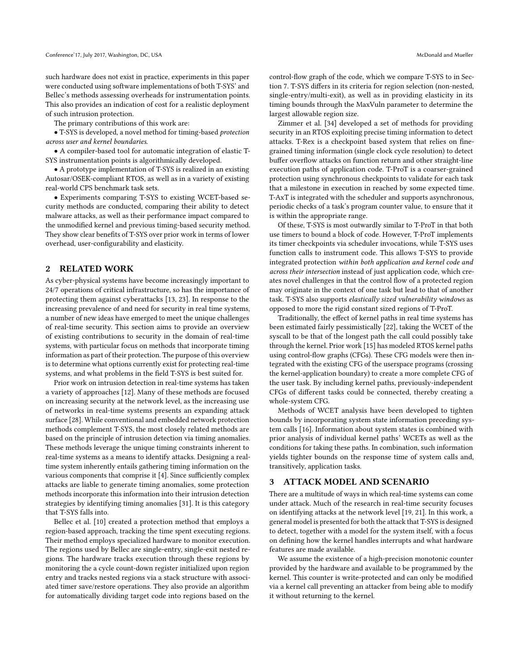such hardware does not exist in practice, experiments in this paper were conducted using software implementations of both T-SYS' and Bellec's methods assessing overheads for instrumentation points. This also provides an indication of cost for a realistic deployment of such intrusion protection.

The primary contributions of this work are:

• T-SYS is developed, a novel method for timing-based protection across user and kernel boundaries.

• A compiler-based tool for automatic integration of elastic T-SYS instrumentation points is algorithmically developed.

• A prototype implementation of T-SYS is realized in an existing Autosar/OSEK-compliant RTOS, as well as in a variety of existing real-world CPS benchmark task sets.

• Experiments comparing T-SYS to existing WCET-based security methods are conducted, comparing their ability to detect malware attacks, as well as their performance impact compared to the unmodified kernel and previous timing-based security method. They show clear benefits of T-SYS over prior work in terms of lower overhead, user-configurability and elasticity.

### 2 RELATED WORK

As cyber-physical systems have become increasingly important to 24/7 operations of critical infrastructure, so has the importance of protecting them against cyberattacks [\[13,](#page-9-5) [23\]](#page-9-6). In response to the increasing prevalence of and need for security in real time systems, a number of new ideas have emerged to meet the unique challenges of real-time security. This section aims to provide an overview of existing contributions to security in the domain of real-time systems, with particular focus on methods that incorporate timing information as part of their protection. The purpose of this overview is to determine what options currently exist for protecting real-time systems, and what problems in the field T-SYS is best suited for.

Prior work on intrusion detection in real-time systems has taken a variety of approaches [\[12\]](#page-9-7). Many of these methods are focused on increasing security at the network level, as the increasing use of networks in real-time systems presents an expanding attack surface [\[28\]](#page-9-8). While conventional and embedded network protection methods complement T-SYS, the most closely related methods are based on the principle of intrusion detection via timing anomalies. These methods leverage the unique timing constraints inherent to real-time systems as a means to identify attacks. Designing a realtime system inherently entails gathering timing information on the various components that comprise it [\[4\]](#page-9-9). Since sufficiently complex attacks are liable to generate timing anomalies, some protection methods incorporate this information into their intrusion detection strategies by identifying timing anomalies [\[31\]](#page-9-10). It is this category that T-SYS falls into.

Bellec et al. [\[10\]](#page-9-2) created a protection method that employs a region-based approach, tracking the time spent executing regions. Their method employs specialized hardware to monitor execution. The regions used by Bellec are single-entry, single-exit nested regions. The hardware tracks execution through these regions by monitoring the a cycle count-down register initialized upon region entry and tracks nested regions via a stack structure with associated timer save/restore operations. They also provide an algorithm for automatically dividing target code into regions based on the

control-flow graph of the code, which we compare T-SYS to in Section [7.](#page-6-0) T-SYS differs in its criteria for region selection (non-nested, single-entry/multi-exit), as well as in providing elasticity in its timing bounds through the MaxVuln parameter to determine the largest allowable region size.

Zimmer et al. [\[34\]](#page-9-3) developed a set of methods for providing security in an RTOS exploiting precise timing information to detect attacks. T-Rex is a checkpoint based system that relies on finegrained timing information (single clock cycle resolution) to detect buffer overflow attacks on function return and other straight-line execution paths of application code. T-ProT is a coarser-grained protection using synchronous checkpoints to validate for each task that a milestone in execution in reached by some expected time. T-AxT is integrated with the scheduler and supports asynchronous, periodic checks of a task's program counter value, to ensure that it is within the appropriate range.

Of these, T-SYS is most outwardly similar to T-ProT in that both use timers to bound a block of code. However, T-ProT implements its timer checkpoints via scheduler invocations, while T-SYS uses function calls to instrument code. This allows T-SYS to provide integrated protection within both application and kernel code and across their intersection instead of just application code, which creates novel challenges in that the control flow of a protected region may originate in the context of one task but lead to that of another task. T-SYS also supports elastically sized vulnerability windows as opposed to more the rigid constant sized regions of T-ProT.

Traditionally, the effect of kernel paths in real time systems has been estimated fairly pessimistically [\[22\]](#page-9-11), taking the WCET of the syscall to be that of the longest path the call could possibly take through the kernel. Prior work [\[15\]](#page-9-12) has modeled RTOS kernel paths using control-flow graphs (CFGs). These CFG models were then integrated with the existing CFG of the userspace programs (crossing the kernel-application boundary) to create a more complete CFG of the user task. By including kernel paths, previously-independent CFGs of different tasks could be connected, thereby creating a whole-system CFG.

Methods of WCET analysis have been developed to tighten bounds by incorporating system state information preceding system calls [\[16\]](#page-9-13). Information about system states is combined with prior analysis of individual kernel paths' WCETs as well as the conditions for taking these paths. In combination, such information yields tighter bounds on the response time of system calls and, transitively, application tasks.

#### <span id="page-1-0"></span>3 ATTACK MODEL AND SCENARIO

There are a multitude of ways in which real-time systems can come under attack. Much of the research in real-time security focuses on identifying attacks at the network level [\[19,](#page-9-14) [21\]](#page-9-15). In this work, a general model is presented for both the attack that T-SYS is designed to detect, together with a model for the system itself, with a focus on defining how the kernel handles interrupts and what hardware features are made available.

We assume the existence of a high-precision monotonic counter provided by the hardware and available to be programmed by the kernel. This counter is write-protected and can only be modified via a kernel call preventing an attacker from being able to modify it without returning to the kernel.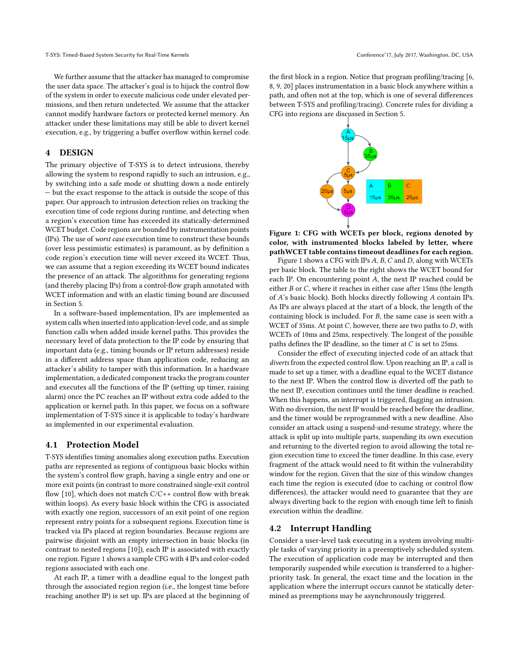We further assume that the attacker has managed to compromise the user data space. The attacker's goal is to hijack the control flow of the system in order to execute malicious code under elevated permissions, and then return undetected. We assume that the attacker cannot modify hardware factors or protected kernel memory. An attacker under these limitations may still be able to divert kernel execution, e.g., by triggering a buffer overflow within kernel code.

# <span id="page-2-0"></span>4 DESIGN

The primary objective of T-SYS is to detect intrusions, thereby allowing the system to respond rapidly to such an intrusion, e.g., by switching into a safe mode or shutting down a node entirely — but the exact response to the attack is outside the scope of this paper. Our approach to intrusion detection relies on tracking the execution time of code regions during runtime, and detecting when a region's execution time has exceeded its statically-determined WCET budget. Code regions are bounded by instrumentation points (IPs). The use of worst case execution time to construct these bounds (over less pessimistic estimates) is paramount, as by definition a code region's execution time will never exceed its WCET. Thus, we can assume that a region exceeding its WCET bound indicates the presence of an attack. The algorithms for generating regions (and thereby placing IPs) from a control-flow graph annotated with WCET information and with an elastic timing bound are discussed in Section [5.](#page-3-0)

In a software-based implementation, IPs are implemented as system calls when inserted into application-level code, and as simple function calls when added inside kernel paths. This provides the necessary level of data protection to the IP code by ensuring that important data (e.g., timing bounds or IP return addresses) reside in a different address space than application code, reducing an attacker's ability to tamper with this information. In a hardware implementation, a dedicated component tracks the program counter and executes all the functions of the IP (setting up timer, raising alarm) once the PC reaches an IP without extra code added to the application or kernel path. In this paper, we focus on a software implementation of T-SYS since it is applicable to today's hardware as implemented in our experimental evaluation.

#### 4.1 Protection Model

T-SYS identifies timing anomalies along execution paths. Execution paths are represented as regions of contiguous basic blocks within the system's control flow graph, having a single entry and one or more exit points (in contrast to more constrained single-exit control flow [\[10\]](#page-9-2), which does not match C/C++ control flow with break within loops). As every basic block within the CFG is associated with exactly one region, successors of an exit point of one region represent entry points for a subsequent regions. Execution time is tracked via IPs placed at region boundaries. Because regions are pairwise disjoint with an empty intersection in basic blocks (in contrast to nested regions [\[10\]](#page-9-2)), each IP is associated with exactly one region. Figure [1](#page-2-1) shows a sample CFG with 4 IPs and color-coded regions associated with each one.

At each IP, a timer with a deadline equal to the longest path through the associated region region (i.e., the longest time before reaching another IP) is set up. IPs are placed at the beginning of the first block in a region. Notice that program profiling/tracing [\[6,](#page-9-16) [8,](#page-9-17) [9,](#page-9-18) [20\]](#page-9-19) places instrumentation in a basic block anywhere within a path, and often not at the top, which is one of several differences between T-SYS and profiling/tracing). Concrete rules for dividing a CFG into regions are discussed in Section [5.](#page-3-0)

<span id="page-2-1"></span>

Figure 1: CFG with WCETs per block, regions denoted by color, with instrumented blocks labeled by letter, where pathWCET table contains timeout deadlines for each region.

Figure [1](#page-2-1) shows a CFG with IPs  $A$ ,  $B$ ,  $C$  and  $D$ , along with WCETs per basic block. The table to the right shows the WCET bound for each IP. On encountering point  $A$ , the next IP reached could be either  $B$  or  $C$ , where it reaches in either case after 15ms (the length of  $A$ 's basic block). Both blocks directly following  $A$  contain IPs. As IPs are always placed at the start of a block, the length of the containing block is included. For  $B$ , the same case is seen with a WCET of 35ms. At point  $C$ , however, there are two paths to  $D$ , with WCETs of 10ms and 25ms, respectively. The longest of the possible paths defines the IP deadline, so the timer at  $C$  is set to 25ms.

Consider the effect of executing injected code of an attack that diverts from the expected control flow. Upon reaching an IP, a call is made to set up a timer, with a deadline equal to the WCET distance to the next IP. When the control flow is diverted off the path to the next IP, execution continues until the timer deadline is reached. When this happens, an interrupt is triggered, flagging an intrusion. With no diversion, the next IP would be reached before the deadline, and the timer would be reprogrammed with a new deadline. Also consider an attack using a suspend-and-resume strategy, where the attack is split up into multiple parts, suspending its own execution and returning to the diverted region to avoid allowing the total region execution time to exceed the timer deadline. In this case, every fragment of the attack would need to fit within the vulnerability window for the region. Given that the size of this window changes each time the region is executed (due to caching or control flow differences), the attacker would need to guarantee that they are always diverting back to the region with enough time left to finish execution within the deadline.

### 4.2 Interrupt Handling

Consider a user-level task executing in a system involving multiple tasks of varying priority in a preemptively scheduled system. The execution of application code may be interrupted and then temporarily suspended while execution is transferred to a higherpriority task. In general, the exact time and the location in the application where the interrupt occurs cannot be statically determined as preemptions may be asynchronously triggered.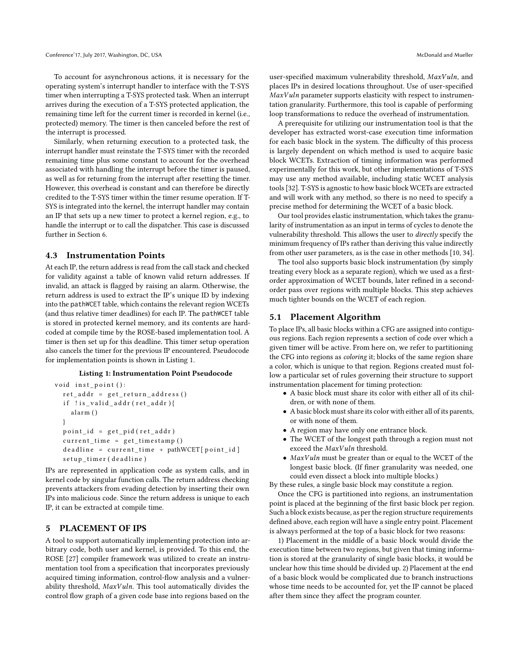To account for asynchronous actions, it is necessary for the operating system's interrupt handler to interface with the T-SYS timer when interrupting a T-SYS protected task. When an interrupt arrives during the execution of a T-SYS protected application, the remaining time left for the current timer is recorded in kernel (i.e., protected) memory. The timer is then canceled before the rest of the interrupt is processed.

Similarly, when returning execution to a protected task, the interrupt handler must reinstate the T-SYS timer with the recorded remaining time plus some constant to account for the overhead associated with handling the interrupt before the timer is paused, as well as for returning from the interrupt after resetting the timer. However, this overhead is constant and can therefore be directly credited to the T-SYS timer within the timer resume operation. If T-SYS is integrated into the kernel, the interrupt handler may contain an IP that sets up a new timer to protect a kernel region, e.g., to handle the interrupt or to call the dispatcher. This case is discussed further in Section [6.](#page-5-0)

## 4.3 Instrumentation Points

At each IP, the return address is read from the call stack and checked for validity against a table of known valid return addresses. If invalid, an attack is flagged by raising an alarm. Otherwise, the return address is used to extract the IP's unique ID by indexing into the pathWCET table, which contains the relevant region WCETs (and thus relative timer deadlines) for each IP. The pathWCET table is stored in protected kernel memory, and its contents are hardcoded at compile time by the ROSE-based implementation tool. A timer is then set up for this deadline. This timer setup operation also cancels the timer for the previous IP encountered. Pseudocode for implementation points is shown in Listing [1.](#page-3-1)

#### Listing 1: Instrumentation Point Pseudocode

```
void inst point():
ret\_addr = get\_return\_address()if ! is_valid_addr(ret_addr){
  alarm ()
}
point_id = get\_pid(ret\_addr)current_time = get_time stamp()deadline = current_time + pathWCEPT[point_id]setup_time (deadline)
```
IPs are represented in application code as system calls, and in kernel code by singular function calls. The return address checking prevents attackers from evading detection by inserting their own IPs into malicious code. Since the return address is unique to each IP, it can be extracted at compile time.

# <span id="page-3-0"></span>5 PLACEMENT OF IPS

A tool to support automatically implementing protection into arbitrary code, both user and kernel, is provided. To this end, the ROSE [\[27\]](#page-9-20) compiler framework was utilized to create an instrumentation tool from a specification that incorporates previously acquired timing information, control-flow analysis and a vulnerability threshold,  $MaxVuln$ . This tool automatically divides the control flow graph of a given code base into regions based on the

user-specified maximum vulnerability threshold,  $MaxVuln$ , and places IPs in desired locations throughout. Use of user-specified  $MaxVuh$  parameter supports elasticity with respect to instrumentation granularity. Furthermore, this tool is capable of performing loop transformations to reduce the overhead of instrumentation.

A prerequisite for utilizing our instrumentation tool is that the developer has extracted worst-case execution time information for each basic block in the system. The difficulty of this process is largely dependent on which method is used to acquire basic block WCETs. Extraction of timing information was performed experimentally for this work, but other implementations of T-SYS may use any method available, including static WCET analysis tools [\[32\]](#page-9-21). T-SYS is agnostic to how basic block WCETs are extracted and will work with any method, so there is no need to specify a precise method for determining the WCET of a basic block.

Our tool provides elastic instrumentation, which takes the granularity of instrumentation as an input in terms of cycles to denote the vulnerability threshold. This allows the user to directly specify the minimum frequency of IPs rather than deriving this value indirectly from other user parameters, as is the case in other methods [\[10,](#page-9-2) [34\]](#page-9-3).

The tool also supports basic block instrumentation (by simply treating every block as a separate region), which we used as a firstorder approximation of WCET bounds, later refined in a secondorder pass over regions with multiple blocks. This step achieves much tighter bounds on the WCET of each region.

### 5.1 Placement Algorithm

To place IPs, all basic blocks within a CFG are assigned into contiguous regions. Each region represents a section of code over which a given timer will be active. From here on, we refer to partitioning the CFG into regions as coloring it; blocks of the same region share a color, which is unique to that region. Regions created must follow a particular set of rules governing their structure to support instrumentation placement for timing protection:

- A basic block must share its color with either all of its children, or with none of them.
- A basic block must share its color with either all of its parents, or with none of them.
- A region may have only one entrance block.
- The WCET of the longest path through a region must not exceed the MaxVuln threshold.
- $MaxVuhn$  must be greater than or equal to the WCET of the longest basic block. (If finer granularity was needed, one could even dissect a block into multiple blocks.)

By these rules, a single basic block may constitute a region.

Once the CFG is partitioned into regions, an instrumentation point is placed at the beginning of the first basic block per region. Such a block exists because, as per the region structure requirements defined above, each region will have a single entry point. Placement is always performed at the top of a basic block for two reasons:

1) Placement in the middle of a basic block would divide the execution time between two regions, but given that timing information is stored at the granularity of single basic blocks, it would be unclear how this time should be divided up. 2) Placement at the end of a basic block would be complicated due to branch instructions whose time needs to be accounted for, yet the IP cannot be placed after them since they affect the program counter.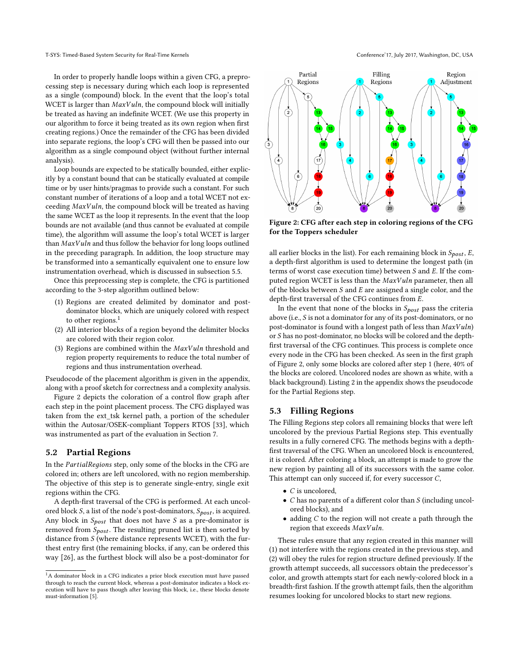In order to properly handle loops within a given CFG, a preprocessing step is necessary during which each loop is represented as a single (compound) block. In the event that the loop's total WCET is larger than  $MaxVuln$ , the compound block will initially be treated as having an indefinite WCET. (We use this property in our algorithm to force it being treated as its own region when first creating regions.) Once the remainder of the CFG has been divided into separate regions, the loop's CFG will then be passed into our algorithm as a single compound object (without further internal analysis).

Loop bounds are expected to be statically bounded, either explicitly by a constant bound that can be statically evaluated at compile time or by user hints/pragmas to provide such a constant. For such constant number of iterations of a loop and a total WCET not exceeding  $MaxVuln$ , the compound block will be treated as having the same WCET as the loop it represents. In the event that the loop bounds are not available (and thus cannot be evaluated at compile time), the algorithm will assume the loop's total WCET is larger than  $MaxV$ uln and thus follow the behavior for long loops outlined in the preceding paragraph. In addition, the loop structure may be transformed into a semantically equivalent one to ensure low instrumentation overhead, which is discussed in subsection [5.5.](#page-5-1)

Once this preprocessing step is complete, the CFG is partitioned according to the 3-step algorithm outlined below:

- (1) Regions are created delimited by dominator and postdominator blocks, which are uniquely colored with respect to other regions.<sup>[1](#page-4-0)</sup>
- (2) All interior blocks of a region beyond the delimiter blocks are colored with their region color.
- (3) Regions are combined within the  $MaxVuln$  threshold and region property requirements to reduce the total number of regions and thus instrumentation overhead.

Pseudocode of the placement algorithm is given in the appendix, along with a proof sketch for correctness and a complexity analysis.

Figure [2](#page-4-1) depicts the coloration of a control flow graph after each step in the point placement process. The CFG displayed was taken from the ext\_tsk kernel path, a portion of the scheduler within the Autosar/OSEK-compliant Toppers RTOS [\[33\]](#page-9-22), which was instrumented as part of the evaluation in Section [7.](#page-6-0)

#### 5.2 Partial Regions

In the PartialRegions step, only some of the blocks in the CFG are colored in; others are left uncolored, with no region membership. The objective of this step is to generate single-entry, single exit regions within the CFG.

A depth-first traversal of the CFG is performed. At each uncolored block  $S$ , a list of the node's post-dominators,  $S_{post}$ , is acquired. Any block in  $S_{post}$  that does not have  $S$  as a pre-dominator is removed from  $S_{post}$ . The resulting pruned list is then sorted by distance from  $S$  (where distance represents WCET), with the furthest entry first (the remaining blocks, if any, can be ordered this way [\[26\]](#page-9-23), as the furthest block will also be a post-dominator for

<span id="page-4-1"></span>

Figure 2: CFG after each step in coloring regions of the CFG for the Toppers scheduler

all earlier blocks in the list). For each remaining block in  $S_{post}$ , E, a depth-first algorithm is used to determine the longest path (in terms of worst case execution time) between  $S$  and  $E$ . If the computed region WCET is less than the  $MaxVuh$  parameter, then all of the blocks between  $S$  and  $E$  are assigned a single color, and the depth-first traversal of the CFG continues from  $E$ .

In the event that none of the blocks in  $S_{post}$  pass the criteria above (i.e.,  $S$  is not a dominator for any of its post-dominators, or no post-dominator is found with a longest path of less than  $MaxVuln$ or  $S$  has no post-dominator, no blocks will be colored and the depthfirst traversal of the CFG continues. This process is complete once every node in the CFG has been checked. As seen in the first graph of Figure [2,](#page-4-1) only some blocks are colored after step 1 (here, 40% of the blocks are colored. Uncolored nodes are shown as white, with a black background). Listing [2](#page-10-0) in the appendix shows the pseudocode for the Partial Regions step.

#### 5.3 Filling Regions

The Filling Regions step colors all remaining blocks that were left uncolored by the previous Partial Regions step. This eventually results in a fully cornered CFG. The methods begins with a depthfirst traversal of the CFG. When an uncolored block is encountered, it is colored. After coloring a block, an attempt is made to grow the new region by painting all of its successors with the same color. This attempt can only succeed if, for every successor  $C$ ,

- $\bullet$  *C* is uncolored,
- $C$  has no parents of a different color than  $S$  (including uncolored blocks), and
- $\bullet$  adding  $C$  to the region will not create a path through the region that exceeds MaxVuln.

These rules ensure that any region created in this manner will (1) not interfere with the regions created in the previous step, and (2) will obey the rules for region structure defined previously. If the growth attempt succeeds, all successors obtain the predecessor's color, and growth attempts start for each newly-colored block in a breadth-first fashion. If the growth attempt fails, then the algorithm resumes looking for uncolored blocks to start new regions.

<span id="page-4-0"></span> $^1\mathrm{A}$  dominator block in a CFG indicates a prior block execution must have passed through to reach the current block, whereas a post-dominator indicates a block execution will have to pass though after leaving this block, i.e., these blocks denote must-information [\[5\]](#page-9-24).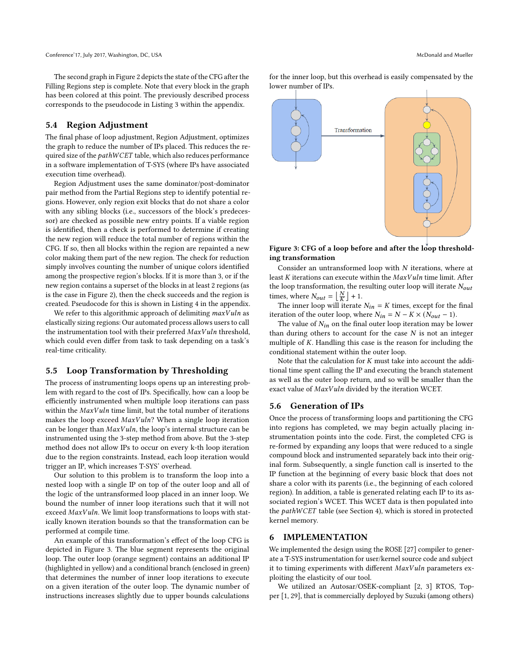The second graph in Figure [2](#page-4-1) depicts the state of the CFG after the Filling Regions step is complete. Note that every block in the graph has been colored at this point. The previously described process corresponds to the pseudocode in Listing [3](#page-10-1) within the appendix.

## 5.4 Region Adjustment

The final phase of loop adjustment, Region Adjustment, optimizes the graph to reduce the number of IPs placed. This reduces the required size of the pathWCET table, which also reduces performance in a software implementation of T-SYS (where IPs have associated execution time overhead).

Region Adjustment uses the same dominator/post-dominator pair method from the Partial Regions step to identify potential regions. However, only region exit blocks that do not share a color with any sibling blocks (i.e., successors of the block's predecessor) are checked as possible new entry points. If a viable region is identified, then a check is performed to determine if creating the new region will reduce the total number of regions within the CFG. If so, then all blocks within the region are repainted a new color making them part of the new region. The check for reduction simply involves counting the number of unique colors identified among the prospective region's blocks. If it is more than 3, or if the new region contains a superset of the blocks in at least 2 regions (as is the case in Figure [2\)](#page-4-1), then the check succeeds and the region is created. Pseudocode for this is shown in Listing [4](#page-10-2) in the appendix.

We refer to this algorithmic approach of delimiting  $maxVuln$  as elastically sizing regions: Our automated process allows users to call the instrumentation tool with their preferred  $\text{MaxV}$ uln threshold, which could even differ from task to task depending on a task's real-time criticality.

#### <span id="page-5-1"></span>5.5 Loop Transformation by Thresholding

The process of instrumenting loops opens up an interesting problem with regard to the cost of IPs. Specifically, how can a loop be efficiently instrumented when multiple loop iterations can pass within the  $MaxVuln$  time limit, but the total number of iterations makes the loop exceed  $MaxVuln$ ? When a single loop iteration can be longer than  $MaxVuln$ , the loop's internal structure can be instrumented using the 3-step method from above. But the 3-step method does not allow IPs to occur on every k-th loop iteration due to the region constraints. Instead, each loop iteration would trigger an IP, which increases T-SYS' overhead.

Our solution to this problem is to transform the loop into a nested loop with a single IP on top of the outer loop and all of the logic of the untransformed loop placed in an inner loop. We bound the number of inner loop iterations such that it will not exceed  $MaxVuln$ . We limit loop transformations to loops with statically known iteration bounds so that the transformation can be performed at compile time.

An example of this transformation's effect of the loop CFG is depicted in Figure [3.](#page-5-2) The blue segment represents the original loop. The outer loop (orange segment) contains an additional IP (highlighted in yellow) and a conditional branch (enclosed in green) that determines the number of inner loop iterations to execute on a given iteration of the outer loop. The dynamic number of instructions increases slightly due to upper bounds calculations

for the inner loop, but this overhead is easily compensated by the lower number of IPs.

<span id="page-5-2"></span>

Figure 3: CFG of a loop before and after the loop thresholding transformation

Consider an untransformed loop with  $N$  iterations, where at least  $K$  iterations can execute within the  $MaxVuh$  time limit. After the loop transformation, the resulting outer loop will iterate  $N_{out}$ times, where  $N_{out} = \left\lfloor \frac{N}{K} \right\rfloor + 1$ .

The inner loop will iterate  $N_{in} = K$  times, except for the final iteration of the outer loop, where  $N_{in} = N - K \times (N_{out} - 1)$ .

The value of  $N_{in}$  on the final outer loop iteration may be lower than during others to account for the case  $N$  is not an integer multiple of  $K$ . Handling this case is the reason for including the conditional statement within the outer loop.

Note that the calculation for  $K$  must take into account the additional time spent calling the IP and executing the branch statement as well as the outer loop return, and so will be smaller than the exact value of  $MaxV$ uln divided by the iteration WCET.

#### 5.6 Generation of IPs

Once the process of transforming loops and partitioning the CFG into regions has completed, we may begin actually placing instrumentation points into the code. First, the completed CFG is re-formed by expanding any loops that were reduced to a single compound block and instrumented separately back into their original form. Subsequently, a single function call is inserted to the IP function at the beginning of every basic block that does not share a color with its parents (i.e., the beginning of each colored region). In addition, a table is generated relating each IP to its associated region's WCET. This WCET data is then populated into the pathWCET table (see Section [4\)](#page-2-0), which is stored in protected kernel memory.

#### <span id="page-5-0"></span>6 IMPLEMENTATION

We implemented the design using the ROSE [\[27\]](#page-9-20) compiler to generate a T-SYS instrumentation for user/kernel source code and subject it to timing experiments with different  $MaxV$ uln parameters exploiting the elasticity of our tool.

We utilized an Autosar/OSEK-compliant [\[2,](#page-9-25) [3\]](#page-9-26) RTOS, Topper [\[1,](#page-9-27) [29\]](#page-9-28), that is commercially deployed by Suzuki (among others)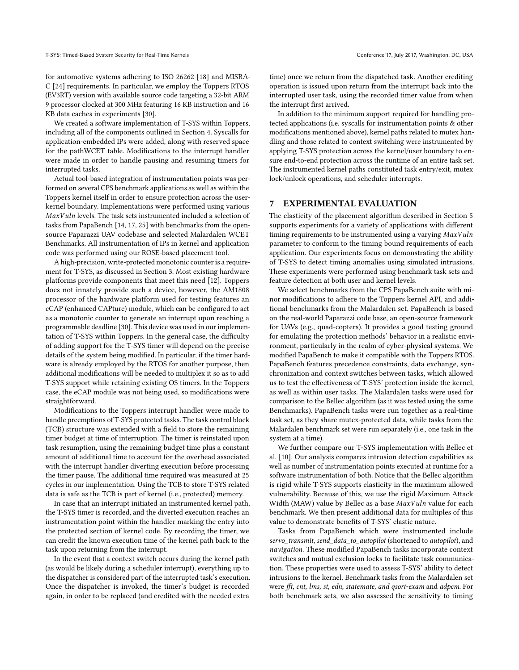for automotive systems adhering to ISO 26262 [\[18\]](#page-9-29) and MISRA-C [\[24\]](#page-9-30) requirements. In particular, we employ the Toppers RTOS (EV3RT) version with available source code targeting a 32-bit ARM 9 processor clocked at 300 MHz featuring 16 KB instruction and 16 KB data caches in experiments [\[30\]](#page-9-31).

We created a software implementation of T-SYS within Toppers, including all of the components outlined in Section [4.](#page-2-0) Syscalls for application-embedded IPs were added, along with reserved space for the pathWCET table. Modifications to the interrupt handler were made in order to handle pausing and resuming timers for interrupted tasks.

Actual tool-based integration of instrumentation points was performed on several CPS benchmark applications as well as within the Toppers kernel itself in order to ensure protection across the userkernel boundary. Implementations were performed using various  $MaxVuln$  levels. The task sets instrumented included a selection of tasks from PapaBench [\[14,](#page-9-32) [17,](#page-9-33) [25\]](#page-9-34) with benchmarks from the opensource Paparazzi UAV codebase and selected Malardalen WCET Benchmarks. All instrumentation of IPs in kernel and application code was performed using our ROSE-based placement tool.

A high-precision, write-protected monotonic counter is a requirement for T-SYS, as discussed in Section [3.](#page-1-0) Most existing hardware platforms provide components that meet this need [\[12\]](#page-9-7). Toppers does not innately provide such a device, however, the AM1808 processor of the hardware platform used for testing features an eCAP (enhanced CAPture) module, which can be configured to act as a monotonic counter to generate an interrupt upon reaching a programmable deadline [\[30\]](#page-9-31). This device was used in our implementation of T-SYS within Toppers. In the general case, the difficulty of adding support for the T-SYS timer will depend on the precise details of the system being modified. In particular, if the timer hardware is already employed by the RTOS for another purpose, then additional modifications will be needed to multiplex it so as to add T-SYS support while retaining existing OS timers. In the Toppers case, the eCAP module was not being used, so modifications were straightforward.

Modifications to the Toppers interrupt handler were made to handle preemptions of T-SYS protected tasks. The task control block (TCB) structure was extended with a field to store the remaining timer budget at time of interruption. The timer is reinstated upon task resumption, using the remaining budget time plus a constant amount of additional time to account for the overhead associated with the interrupt handler diverting execution before processing the timer pause. The additional time required was measured at 25 cycles in our implementation. Using the TCB to store T-SYS related data is safe as the TCB is part of kernel (i.e., protected) memory.

In case that an interrupt initiated an instrumented kernel path, the T-SYS timer is recorded, and the diverted execution reaches an instrumentation point within the handler marking the entry into the protected section of kernel code. By recording the timer, we can credit the known execution time of the kernel path back to the task upon returning from the interrupt.

In the event that a context switch occurs during the kernel path (as would be likely during a scheduler interrupt), everything up to the dispatcher is considered part of the interrupted task's execution. Once the dispatcher is invoked, the timer's budget is recorded again, in order to be replaced (and credited with the needed extra

time) once we return from the dispatched task. Another crediting operation is issued upon return from the interrupt back into the interrupted user task, using the recorded timer value from when the interrupt first arrived.

In addition to the minimum support required for handling protected applications (i.e. syscalls for instrumentation points & other modifications mentioned above), kernel paths related to mutex handling and those related to context switching were instrumented by applying T-SYS protection across the kernel/user boundary to ensure end-to-end protection across the runtime of an entire task set. The instrumented kernel paths constituted task entry/exit, mutex lock/unlock operations, and scheduler interrupts.

## <span id="page-6-0"></span>7 EXPERIMENTAL EVALUATION

The elasticity of the placement algorithm described in Section [5](#page-3-0) supports experiments for a variety of applications with different timing requirements to be instrumented using a varying  $MaxV$ uln parameter to conform to the timing bound requirements of each application. Our experiments focus on demonstrating the ability of T-SYS to detect timing anomalies using simulated intrusions. These experiments were performed using benchmark task sets and feature detection at both user and kernel levels.

We select benchmarks from the CPS PapaBench suite with minor modifications to adhere to the Toppers kernel API, and additional benchmarks from the Malardalen set. PapaBench is based on the real-world Paparazzi code base, an open-source framework for UAVs (e.g., quad-copters). It provides a good testing ground for emulating the protection methods' behavior in a realistic environment, particularly in the realm of cyber-physical systems. We modified PapaBench to make it compatible with the Toppers RTOS. PapaBench features precedence constraints, data exchange, synchronization and context switches between tasks, which allowed us to test the effectiveness of T-SYS' protection inside the kernel, as well as within user tasks. The Malardalen tasks were used for comparison to the Bellec algorithm (as it was tested using the same Benchmarks). PapaBench tasks were run together as a real-time task set, as they share mutex-protected data, while tasks from the Malardalen benchmark set were run separately (i.e., one task in the system at a time).

We further compare our T-SYS implementation with Bellec et al. [\[10\]](#page-9-2). Our analysis compares intrusion detection capabilities as well as number of instrumentation points executed at runtime for a software instrumentation of both. Notice that the Bellec algorithm is rigid while T-SYS supports elasticity in the maximum allowed vulnerability. Because of this, we use the rigid Maximum Attack Width (MAW) value by Bellec as a base  $MaxVuh$  value for each benchmark. We then present additional data for multiples of this value to demonstrate benefits of T-SYS' elastic nature.

Tasks from PapaBench which were instrumented include servo\_transmit, send\_data\_to\_autopilot (shortened to autopilot), and navigation. These modified PapaBench tasks incorporate context switches and mutual exclusion locks to facilitate task communication. These properties were used to assess T-SYS' ability to detect intrusions to the kernel. Benchmark tasks from the Malardalen set were fft, cnt, lms, st, edn, statemate, and qsort-exam and adpcm. For both benchmark sets, we also assessed the sensitivity to timing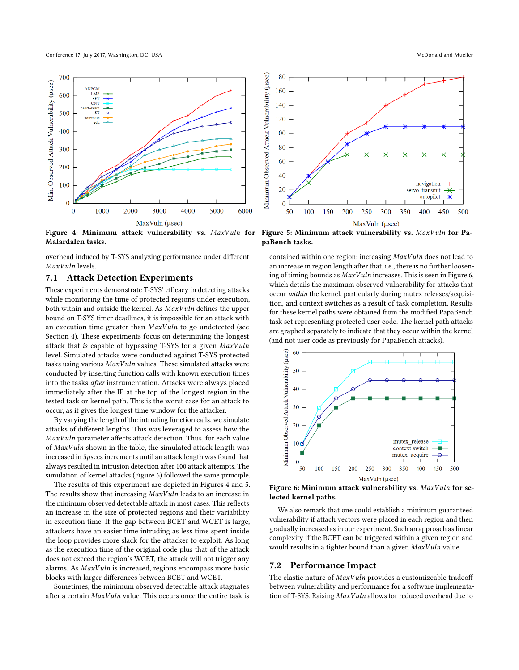<span id="page-7-1"></span>

Figure 4: Minimum attack vulnerability vs.  $MaxVuln$  for Malardalen tasks.

overhead induced by T-SYS analyzing performance under different MaxVuln levels.

## 7.1 Attack Detection Experiments

These experiments demonstrate T-SYS' efficacy in detecting attacks while monitoring the time of protected regions under execution, both within and outside the kernel. As  $MaxV$ uln defines the upper bound on T-SYS timer deadlines, it is impossible for an attack with an execution time greater than  $MaxVuln$  to go undetected (see Section [4\)](#page-2-0). These experiments focus on determining the longest attack that is capable of bypassing T-SYS for a given  $MaxVuln$ level. Simulated attacks were conducted against T-SYS protected tasks using various  $MaxVuh$  values. These simulated attacks were conducted by inserting function calls with known execution times into the tasks after instrumentation. Attacks were always placed immediately after the IP at the top of the longest region in the tested task or kernel path. This is the worst case for an attack to occur, as it gives the longest time window for the attacker.

By varying the length of the intruding function calls, we simulate attacks of different lengths. This was leveraged to assess how the  $MaxV$ uln parameter affects attack detection. Thus, for each value of  $MaxVuln$  shown in the table, the simulated attack length was increased in  $5\mu$ secs increments until an attack length was found that always resulted in intrusion detection after 100 attack attempts. The simulation of kernel attacks (Figure [6\)](#page-7-0) followed the same principle.

The results of this experiment are depicted in Figures [4](#page-7-1) and [5.](#page-7-1) The results show that increasing  $MaxVuh$  leads to an increase in the minimum observed detectable attack in most cases. This reflects an increase in the size of protected regions and their variability in execution time. If the gap between BCET and WCET is large, attackers have an easier time intruding as less time spent inside the loop provides more slack for the attacker to exploit: As long as the execution time of the original code plus that of the attack does not exceed the region's WCET, the attack will not trigger any alarms. As MaxVuln is increased, regions encompass more basic blocks with larger differences between BCET and WCET.

Sometimes, the minimum observed detectable attack stagnates after a certain  $MaxV$ uln value. This occurs once the entire task is



Figure 5: Minimum attack vulnerability vs.  $MaxVuh$  for PapaBench tasks.

contained within one region; increasing  $MaxVuh$  does not lead to an increase in region length after that, i.e., there is no further loosening of timing bounds as  $MaxVuln$  increases. This is seen in Figure [6,](#page-7-0) which details the maximum observed vulnerability for attacks that occur within the kernel, particularly during mutex releases/acquisition, and context switches as a result of task completion. Results for these kernel paths were obtained from the modified PapaBench task set representing protected user code. The kernel path attacks are graphed separately to indicate that they occur within the kernel (and not user code as previously for PapaBench attacks).

<span id="page-7-0"></span>

Figure 6: Minimum attack vulnerability vs. MaxVuln for selected kernel paths.

We also remark that one could establish a minimum guaranteed vulnerability if attach vectors were placed in each region and then gradually increased as in our experiment. Such an approach as linear complexity if the BCET can be triggered within a given region and would results in a tighter bound than a given  $MaxV$ uln value.

#### 7.2 Performance Impact

The elastic nature of  $MaxVuh$  provides a customizeable tradeoff between vulnerability and performance for a software implementation of T-SYS. Raising  $MaxVuh$  allows for reduced overhead due to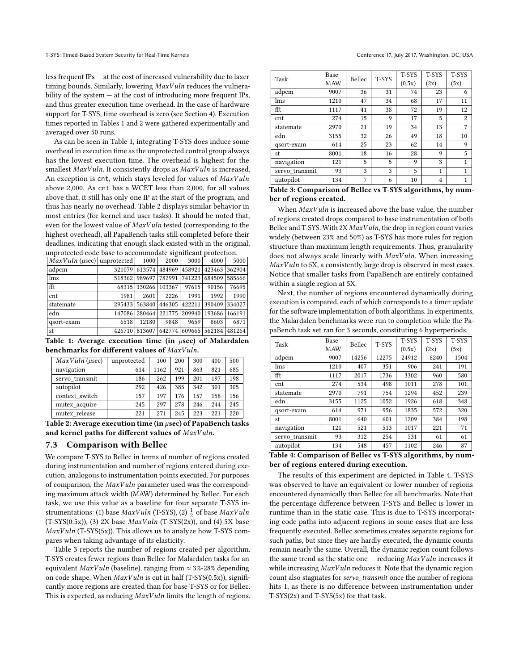less frequent IPs — at the cost of increased vulnerability due to laxer timing bounds. Similarly, lowering  $MaxV$ uln reduces the vulnerability of the system — at the cost of introducing more frequent IPs, and thus greater execution time overhead. In the case of hardware support for T-SYS, time overhead is zero (see Section [4\)](#page-2-0). Execution times reported in Tables [1](#page-8-0) and [2](#page-8-1) were gathered experimentally and averaged over 50 runs.

As can be seen in Table [1,](#page-8-0) integrating T-SYS does induce some overhead in execution time as the unprotected control group always has the lowest execution time. The overhead is highest for the smallest  $MaxVuln$ . It consistently drops as  $MaxVuln$  is increased. An exception is cnt, which stays leveled for values of MaxVuln above 2,000. As cnt has a WCET less than 2,000, for all values above that, it still has only one IP at the start of the program, and thus has nearly no overhead. Table [2](#page-8-1) displays similar behavior in most entries (for kernel and user tasks). It should be noted that, even for the lowest value of  $MaxVuh$  tested (corresponding to the highest overhead), all PapaBench tasks still completed before their deadlines, indicating that enough slack existed with in the original, unprotected code base to accommodate significant protection.

<span id="page-8-0"></span>

| unprotected code base to accommodate significant protection. |      |       |                                                     |       |       |       |
|--------------------------------------------------------------|------|-------|-----------------------------------------------------|-------|-------|-------|
| $MaxVuln (\mu sec)  $ unprotected   1000                     |      |       | 2000                                                | 3000  | 4000  | 5000  |
| adpcm                                                        |      |       | 321079 613574 484969 458921 423463 362904           |       |       |       |
| lms                                                          |      |       | 518362 989697 782991 741223 684509 585666           |       |       |       |
| fft                                                          |      |       | 68315   130266   103367                             | 97615 | 90156 | 76695 |
| cnt                                                          | 1981 | 2601  | 2226                                                | 1991  | 1992  | 1990  |
| statemate                                                    |      |       | 295433 563840 446305 422211 390409 334027           |       |       |       |
| edn                                                          |      |       | 147086   280464   221775   209940   193686   166191 |       |       |       |
| qsort-exam                                                   | 6518 | 12180 | 9848                                                | 9659  | 8603  | 6871  |
| st                                                           |      |       | 426710 813607 642774 609665 562184 481264           |       |       |       |

Table 1: Average execution time (in  $\mu$ sec) of Malardalen benchmarks for different values of  $MaxVuln$ .

<span id="page-8-1"></span>

| MaxVuln (usec) | unprotected | 100  | 200 | 300 | 400 | 500 |
|----------------|-------------|------|-----|-----|-----|-----|
| navigation     | 614         | 1162 | 921 | 863 | 821 | 685 |
| servo transmit | 186         | 262  | 199 | 201 | 197 | 198 |
| autopilot      | 292         | 426  | 385 | 342 | 301 | 305 |
| context switch | 157         | 197  | 176 | 157 | 158 | 156 |
| mutex acquire  | 245         | 297  | 278 | 246 | 244 | 245 |
| mutex release  | 221         | 271  | 245 | 223 | 221 | 220 |

Table 2: Average execution time (in  $\mu$ sec) of PapaBench tasks and kernel paths for different values of  $MaxVuln$ .

#### 7.3 Comparison with Bellec

We compare T-SYS to Bellec in terms of number of regions created during instrumentation and number of regions entered during execution, analogous to instrumentation points executed. For purposes of comparison, the  $MaxVuln$  parameter used was the corresponding maximum attack width (MAW) determined by Bellec. For each task, we use this value as a baseline for four separate T-SYS instrumentations: (1) base  $MaxVuln$  (T-SYS), (2)  $\frac{1}{2}$  of base  $MaxVuln$ (T-SYS(0.5x)), (3) 2X base  $MaxVuln$  (T-SYS(2x)), and (4) 5X base  $MaxVuln$  (T-SYS(5x)). This allows us to analyze how T-SYS compares when taking advantage of its elasticity.

Table [3](#page-8-2) reports the number of regions created per algorithm. T-SYS creates fewer regions than Bellec for Malardalen tasks for an equivalent  $MaxVuh$  (baseline), ranging from  $\approx$  3%-28% depending on code shape. When  $MaxVuln$  is cut in half (T-SYS(0.5x)), significantly more regions are created than for base T-SYS or for Bellec. This is expected, as reducing  $MaxVuh$  limits the length of regions.

<span id="page-8-2"></span>

| Task           | Base | Bellec | T-SYS | T-SYS  | T-SYS | T-SYS |
|----------------|------|--------|-------|--------|-------|-------|
|                | MAW  |        |       | (0.5x) | (2x)  | (5x)  |
| adpcm          | 9007 | 36     | 31    | 74     | 23    | 6     |
| lms            | 1210 | 47     | 34    | 68     | 17    | 11    |
| fft            | 1117 | 41     | 38    | 72     | 19    | 12    |
| cnt            | 274  | 15     | 9     | 17     | 5     | 2     |
| statemate      | 2970 | 21     | 19    | 34     | 13    | 7     |
| edn            | 3155 | 32     | 26    | 49     | 18    | 10    |
| qsort-exam     | 614  | 25     | 23    | 62     | 14    | 9     |
| st             | 8001 | 18     | 16    | 28     | 9     | 5     |
| navigation     | 121  | 5      | 5     | 9      | 3     | 1     |
| servo transmit | 93   | 3      | 3     | 5      | 1     | 1     |
| autopilot      | 134  | 7      | 6     | 10     | 4     | 1     |

Table 3: Comparison of Bellec vs T-SYS algorithms, by number of regions created.

When MaxVuln is increased above the base value, the number of regions created drops compared to base instrumentation of both Bellec and T-SYS. With  $2X$   $MaxVuh$ , the drop in region count varies widely (between 23% and 50%) as T-SYS has more rules for region structure than maximum length requirements. Thus, granularity does not always scale linearly with MaxVuln. When increasing  $MaxVuh$  to 5X, a consistently large drop is observed in most cases. Notice that smaller tasks from PapaBench are entirely contained within a single region at 5X.

Next, the number of regions encountered dynamically during execution is compared, each of which corresponds to a timer update for the software implementation of both algorithms. In experiments, the Malardalen benchmarks were run to completion while the PapaBench task set ran for 3 seconds, constituting 6 hyperperiods.

<span id="page-8-3"></span>

| Task           | Base       | Bellec | T-SYS | T-SYS  | <b>T-SYS</b> | T-SYS |
|----------------|------------|--------|-------|--------|--------------|-------|
|                | <b>MAW</b> |        |       | (0.5x) | (2x)         | (5x)  |
| adpcm          | 9007       | 14256  | 12275 | 24912  | 6240         | 1504  |
| lms            | 1210       | 407    | 351   | 906    | 241          | 191   |
| fft            | 1117       | 2017   | 1736  | 3302   | 960          | 580   |
| cnt            | 274        | 534    | 498   | 1011   | 278          | 101   |
| statemate      | 2970       | 791    | 754   | 1294   | 452          | 239   |
| edn            | 3155       | 1125   | 1052  | 1926   | 618          | 348   |
| qsort-exam     | 614        | 971    | 956   | 1835   | 572          | 320   |
| st             | 8001       | 640    | 601   | 1209   | 384          | 198   |
| navigation     | 121        | 521    | 513   | 1017   | 221          | 71    |
| servo transmit | 93         | 312    | 254   | 531    | 61           | 61    |
| autopilot      | 134        | 548    | 457   | 1102   | 246          | 87    |

| Table 4: Comparison of Bellec vs T-SYS algorithms, by num- |  |
|------------------------------------------------------------|--|
| ber of regions entered during execution.                   |  |

The results of this experiment are depicted in Table [4.](#page-8-3) T-SYS was observed to have an equivalent or lower number of regions encountered dynamically than Bellec for all benchmarks. Note that the percentage difference between T-SYS and Bellec is lower in runtime than in the static case. This is due to T-SYS incorporating code paths into adjacent regions in some cases that are less frequently executed. Bellec sometimes creates separate regions for such paths, but since they are hardly executed, the dynamic counts remain nearly the same. Overall, the dynamic region count follows the same trend as the static one  $-$  reducing  $MaxVuln$  increases it while increasing  $MaxVuln$  reduces it. Note that the dynamic region count also stagnates for servo\_transmit once the number of regions hits 1, as there is no difference between instrumentation under T-SYS(2x) and T-SYS(5x) for that task.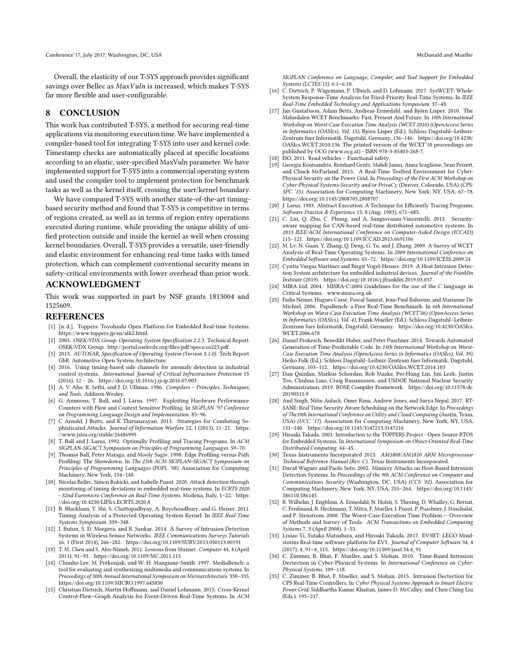Overall, the elasticity of our T-SYS approach provides significant savings over Bellec as  $MaxVuln$  is increased, which makes T-SYS far more flexible and user-configurable.

### 8 CONCLUSION

This work has contributed T-SYS, a method for securing real-time applications via monitoring execution time. We have implemented a compiler-based tool for integrating T-SYS into user and kernel code. Timestamp checks are automatically placed at specific locations according to an elastic, user-specified MaxVuln parameter. We have implemented support for T-SYS into a commercial operating system and used the compiler tool to implement protection for benchmark tasks as well as the kernel itself, crossing the user/kernel boundary.

We have compared T-SYS with another state-of-the-art timingbased security method and found that T-SYS is competitive in terms of regions created, as well as in terms of region entry operations executed during runtime, while providing the unique ability of unified protection outside and inside the kernel as well when crossing kernel boundaries. Overall, T-SYS provides a versatile, user-friendly and elastic environment for enhancing real-time tasks with timed protection, which can complement conventional security means in safety-critical environments with lower overhead than prior work.

## ACKNOWLEDGMENT

This work was supported in part by NSF grants 1813004 and 1525609.

#### REFERENCES

- <span id="page-9-27"></span>[1] [n. d.]. Toppers: Toyohashi Open Platform for Embedded Real-time Systems. https://www.toppers.jp/en/atk2.html.
- <span id="page-9-25"></span>[2] 2005. OSEK/VDX Group. Operating System Specification 2.2.3. Technical Report. OSEK/VDX Group. http://portal.osekvdx.org/files/pdf/specs/os223.pdf.
- <span id="page-9-26"></span>[3] 2013. AUTOSAR. Specification of Operating System (Version 5.1.0). Tech Report GbR. Automotive Open System Architecture.
- <span id="page-9-9"></span>[4] 2016. Using timing-based side channels for anomaly detection in industrial control systems. International Journal of Critical Infrastructure Protection 15 (2016), 12 – 26.<https://doi.org/10.1016/j.ijcip.2016.07.003>
- <span id="page-9-24"></span>[5] A. V. Aho, R. Sethi, and J. D. Ullman. 1986. Compilers – Principles, Techniques, and Tools. Addison-Wesley.
- <span id="page-9-16"></span>[6] G. Ammons, T. Ball, and J. Larus. 1997. Exploiting Hardware Performance Counters with Flow and Context Sensitive Profiling. In SIGPLAN '97 Conference on Programming Language Design and Implementation. 85–96.
- <span id="page-9-0"></span>[7] C Arnold, J Butts, and K Thirunarayan. 2013. Strategies for Combating Sophisticated Attacks. Journal of Information Warfare 12, 1 (2013), 11–21. [https:](https://www.jstor.org/stable/26486995) [//www.jstor.org/stable/26486995](https://www.jstor.org/stable/26486995)
- <span id="page-9-17"></span>[8] T. Ball and J. Larus. 1992. Optimally Profiling and Tracing Programs. In ACM SIGPLAN-SIGACT Symposium on Principles of Programming Languages. 59–70.
- <span id="page-9-18"></span>[9] Thomas Ball, Peter Mataga, and Mooly Sagiv. 1998. Edge Profiling versus Path Profiling: The Showdown. In The 25th ACM SIGPLAN-SIGACT Symposium on Principles of Programming Languages (POPL '98). Association for Computing Machinery, New York, 134–148.
- <span id="page-9-2"></span>[10] Nicolas Bellec, Simon Rokicki, and Isabelle Puaut. 2020. Attack detection through monitoring of timing deviations in embedded real-time systems. In  $\it ECRTS$  2020 32nd Euromicro Conference on Real-Time Systems. Modena, Italy, 1-22. [https:](https://doi.org/10.4230/LIPIcs.ECRTS.2020.8) [//doi.org/10.4230/LIPIcs.ECRTS.2020.8](https://doi.org/10.4230/LIPIcs.ECRTS.2020.8)
- <span id="page-9-1"></span>[11] B. Blackham, Y. Shi, S. Chattopadhyay, A. Roychoudhury, and G. Heiser. 2011. Timing Analysis of a Protected Operating System Kernel. In IEEE Real-Time Systems Symposium. 339–348.
- <span id="page-9-7"></span>[12] I. Butun, S. D. Morgera, and R. Sankar. 2014. A Survey of Intrusion Detection Systems in Wireless Sensor Networks. IEEE Communications Surveys Tutorials 16, 1 (First 2014), 266–282.<https://doi.org/10.1109/SURV.2013.050113.00191>
- <span id="page-9-5"></span>[13] T. M. Chen and S. Abu-Nimeh. 2011. Lessons from Stuxnet. Computer 44, 4 (April 2011), 91–93.<https://doi.org/10.1109/MC.2011.115>
- <span id="page-9-32"></span>[14] Chunho Lee, M. Potkonjak, and W. H. Mangione-Smith. 1997. MediaBench: a tool for evaluating and synthesizing multimedia and communications systems. In Proceedings of 30th Annual International Symposium on Microarchitecture. 330–335. <https://doi.org/10.1109/MICRO.1997.645830>
- <span id="page-9-12"></span>[15] Christian Dietrich, Martin Hoffmann, and Daniel Lohmann. 2015. Cross-Kernel Control-Flow–Graph Analysis for Event-Driven Real-Time Systems. In ACM

SIGPLAN Conference on Language, Compiler, and Tool Support for Embedded Systems (LCTES'15). 6:1–6:10.

- <span id="page-9-13"></span>[16] C. Dietrich, P. Wägemann, P. Ulbrich, and D. Lohmann. 2017. SysWCET: Whole-System Response-Time Analysis for Fixed-Priority Real-Time Systems. In IEEE Real-Time Embedded Technology and Applications Symposium. 37–48.
- <span id="page-9-33"></span>[17] Jan Gustafsson, Adam Betts, Andreas Ermedahl, and Björn Lisper. 2010. The Mälardalen WCET Benchmarks: Past, Present And Future. In 10th International Workshop on Worst-Case Execution Time Analysis (WCET 2010) (OpenAccess Series in Informatics (OASIcs), Vol. 15), Björn Lisper (Ed.). Schloss Dagstuhl–Leibniz-Zentrum fuer Informatik, Dagstuhl, Germany, 136–146. [https://doi.org/10.4230/](https://doi.org/10.4230/OASIcs.WCET.2010.136) [OASIcs.WCET.2010.136](https://doi.org/10.4230/OASIcs.WCET.2010.136) The printed version of the WCET'10 proceedings are published by OCG (www.ocg.at) - ISBN 978-3-85403-268-7.
- <span id="page-9-29"></span>[18] ISO. 2011. Road vehicles - Functional safety.
- <span id="page-9-14"></span>[19] Georgia Koutsandria, Reinhard Gentz, Mahdi Jamei, Anna Scaglione, Sean Peisert, and Chuck McParland. 2015. A Real-Time Testbed Environment for Cyber-Physical Security on the Power Grid. In Proceedings of the First ACM Workshop on Cyber-Physical Systems-Security and/or PrivaCy (Denver, Colorado, USA) (CPS-SPC '15). Association for Computing Machinery, New York, NY, USA, 67–78. <https://doi.org/10.1145/2808705.2808707>
- <span id="page-9-19"></span>[20] J. Larus. 1983. Abstract Execution: A Technique for Efficiently Tracing Programs. Software Practice & Experience 13, 8 (Aug. 1983), 671–685.
- <span id="page-9-15"></span>[21] C. Lin, Q. Zhu, C. Phung, and A. Sangiovanni-Vincentelli. 2013. Securityaware mapping for CAN-based real-time distributed automotive systems. In 2013 IEEE/ACM International Conference on Computer-Aided Design (ICCAD). 115–121.<https://doi.org/10.1109/ICCAD.2013.6691106>
- <span id="page-9-11"></span>[22] M. Lv, N. Guan, Y. Zhang, Q. Deng, G. Yu, and J. Zhang. 2009. A Survey of WCET Analysis of Real-Time Operating Systems. In 2009 International Conference on Embedded Software and Systems. 65–72.<https://doi.org/10.1109/ICESS.2009.24>
- <span id="page-9-6"></span>[23] Cyntia Vargas Martinez and Birgit Vogel-Heuser. 2019. A Host Intrusion Detection System architecture for embedded industrial devices. Journal of the Franklin Institute (2019).<https://doi.org/10.1016/j.jfranklin.2019.03.037>
- <span id="page-9-30"></span>[24] MIRA Ltd. 2004. MISRA-C:2004 Guidelines for the use of the C language in Critical Systems.<www.misra.org.uk>
- <span id="page-9-34"></span>[25] Fadia Nemer, Hugues Cassé, Pascal Sainrat, Jean-Paul Bahsoun, and Marianne De Michiel. 2006. PapaBench: a Free Real-Time Benchmark. In 6th International Workshop on Worst-Case Execution Time Analysis (WCET'06) (OpenAccess Series in Informatics (OASIcs), Vol. 4), Frank Mueller (Ed.). Schloss Dagstuhl–Leibniz-Zentrum fuer Informatik, Dagstuhl, Germany. [https://doi.org/10.4230/OASIcs.](https://doi.org/10.4230/OASIcs.WCET.2006.678) [WCET.2006.678](https://doi.org/10.4230/OASIcs.WCET.2006.678)
- <span id="page-9-23"></span>[26] Daniel Prokesch, Benedikt Huber, and Peter Puschner. 2014. Towards Automated Generation of Time-Predictable Code. In 14th International Workshop on Worst-Case Execution Time Analysis (OpenAccess Series in Informatics (OASIcs), Vol. 39), Heiko Falk (Ed.). Schloss Dagstuhl–Leibniz-Zentrum fuer Informatik, Dagstuhl, Germany, 103–112.<https://doi.org/10.4230/OASIcs.WCET.2014.103>
- <span id="page-9-20"></span>[27] Dan Quinlan, Markus Schordan, Rob Mazke, Pei-Hung Lin, Jim Leek, Justin Too, Chuhua Liao, Craig Rassmussen, and USDOE National Nuclear Security Administration. 2019. ROSE Compiler Framework. [https://doi.org/10.11578/dc.](https://doi.org/10.11578/dc.20190515.9) [20190515.9](https://doi.org/10.11578/dc.20190515.9)
- <span id="page-9-8"></span>[28] Anil Singh, Nitin Auluck, Omer Rana, Andrew Jones, and Surya Nepal. 2017. RT-SANE: Real Time Security Aware Scheduling on the Network Edge. In Proceedings of The10th International Conference on Utility and Cloud Computing (Austin, Texas, USA) (UCC '17). Association for Computing Machinery, New York, NY, USA, 131–140.<https://doi.org/10.1145/3147213.3147216>
- <span id="page-9-28"></span>[29] Hiroaki Takada. 2003. Introduction to the TOPPERS Project - Open Source RTOS for Embedded Systems. In International Symposium on Object-Oriented Real-Time Distributed Computing. 44–45.
- <span id="page-9-31"></span>[30] Texas Instruments Incorporated 2013. AM1808/AM1810 ARM Microprocessor Technical Reference Manual (Rev. C). Texas Instruments Incorporated.
- <span id="page-9-10"></span>[31] David Wagner and Paolo Soto. 2002. Mimicry Attacks on Host-Based Intrusion Detection Systems. In Proceedings of the 9th ACM Conference on Computer and Communications Security (Washington, DC, USA) (CCS '02). Association for Computing Machinery, New York, NY, USA, 255–264. [https://doi.org/10.1145/](https://doi.org/10.1145/586110.586145) [586110.586145](https://doi.org/10.1145/586110.586145)
- <span id="page-9-21"></span>[32] R. Wilhelm, J. Engblom, A. Ermedahl, N. Holsti, S. Thesing, D. Whalley, G. Bernat, C. Ferdinand, R. Heckmann, T. Mitra, F. Mueller, I. Puaut, P. Puschner, J. Staschulat, and P. Stenstrom. 2008. The Worst-Case Execution Time Problem — Overview of Methods and Survey of Tools. ACM Transactions on Embedded Computing Systems 7, 3 (April 2008), 1–53.
- <span id="page-9-22"></span>[33] Lixiao Yi, Yutaka Matsubara, and Hiroaki Takada. 2017. EV3RT: LEGO Mindstorms Real-time software platform for EV3. Journal of Computer Software 34, 4 (2017), 4\_91–4\_115. [https://doi.org/10.11309/jssst.34.4\\_91](https://doi.org/10.11309/jssst.34.4_91)
- <span id="page-9-3"></span>[34] C. Zimmer, B. Bhat, F. Mueller, and S. Mohan. 2010. Time-Based Intrusion Dectection in Cyber-Physical Systems. In International Conference on Cyber-Physical Systems. 109–118.
- <span id="page-9-4"></span>[35] C. Zimmer, B. Bhat, F. Mueller, and S. Mohan. 2015. Intrusion Dectection for CPS Real-Time Controllers. In Cyber Physical Systems Approach to Smart Electric Power Grid, Siddhartha Kumar Khaitan, James D. McCalley, and Chen Ching Liu (Eds.). 195–217.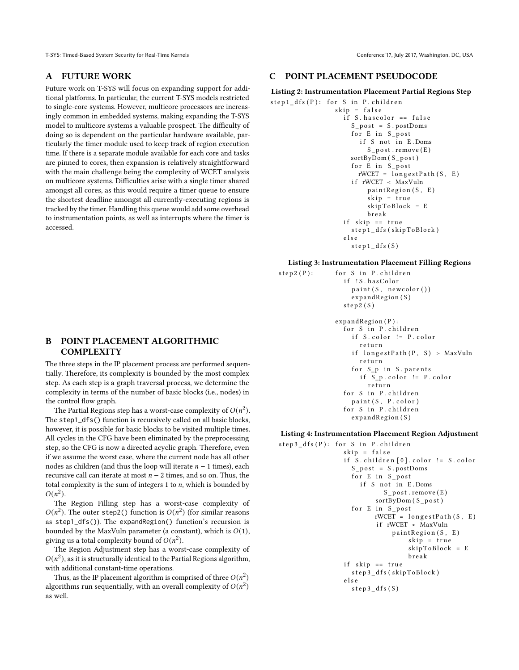T-SYS: Timed-Based System Security for Real-Time Kernels Conference'17, July 2017, Washington, DC, USA

### A FUTURE WORK

Future work on T-SYS will focus on expanding support for additional platforms. In particular, the current T-SYS models restricted to single-core systems. However, multicore processors are increasingly common in embedded systems, making expanding the T-SYS model to multicore systems a valuable prospect. The difficulty of doing so is dependent on the particular hardware available, particularly the timer module used to keep track of region execution time. If there is a separate module available for each core and tasks are pinned to cores, then expansion is relatively straightforward with the main challenge being the complexity of WCET analysis on multicore systems. Difficulties arise with a single timer shared amongst all cores, as this would require a timer queue to ensure the shortest deadline amongst all currently-executing regions is tracked by the timer. Handling this queue would add some overhead to instrumentation points, as well as interrupts where the timer is accessed.

# B POINT PLACEMENT ALGORITHMIC **COMPLEXITY**

The three steps in the IP placement process are performed sequentially. Therefore, its complexity is bounded by the most complex step. As each step is a graph traversal process, we determine the complexity in terms of the number of basic blocks (i.e., nodes) in the control flow graph.

The Partial Regions step has a worst-case complexity of  $O(n^2)$ . The step1\_dfs() function is recursively called on all basic blocks, however, it is possible for basic blocks to be visited multiple times. All cycles in the CFG have been eliminated by the preprocessing step, so the CFG is now a directed acyclic graph. Therefore, even if we assume the worst case, where the current node has all other nodes as children (and thus the loop will iterate  $n - 1$  times), each recursive call can iterate at most  $n - 2$  times, and so on. Thus, the total complexity is the sum of integers  $1$  to  $n$ , which is bounded by  $O(n^2)$ .

The Region Filling step has a worst-case complexity of  $O(n^2)$ . The outer step2() function is  $O(n^2)$  (for similar reasons as step1\_dfs()). The expandRegion() function's recursion is bounded by the MaxVuln parameter (a constant), which is  $O(1)$ , giving us a total complexity bound of  $O(n^2)$ .

The Region Adjustment step has a worst-case complexity of  $O(n^2)$ , as it is structurally identical to the Partial Regions algorithm, with additional constant-time operations.

Thus, as the IP placement algorithm is comprised of three  $O(n^2)$ algorithms run sequentially, with an overall complexity of  $O(n^2)$ as well.

## C POINT PLACEMENT PSEUDOCODE

#### <span id="page-10-0"></span>Listing 2: Instrumentation Placement Partial Regions Step

```
step 1_dfs(P): for S in P. childrenskip = falseif S. has color = falseS _p o st = S. postDoms
                      for E in S<sub>post</sub>
                        if S not in E. Doms
                          S _p o st. remove (E)sortByDom (S _p o st)
                      for E in S<sub>post</sub>
                        rWCET = longestPath(S, E)i f rWCET < MaxVuln
                          paint Region(S, E)skip = trueskip To Block = Eb r e a k
                   if skip == trues t e p 1 d f s ( ski p T o Block )
                    e l s e
                      step 1_dfs(S)
```
#### <span id="page-10-1"></span>Listing 3: Instrumentation Placement Filling Regions

```
step 2(P): for S in P. children
                if ! S. has Color
                  paint(S, newcolor())expandRegion(S)s t e p 2 ( S )
             expandRegion(P):
               for S in P. children
                  if S. color != P. colorr e t u r n
                  if longestPath(P, S) > MaxVulnr e t ur n
                  for S_p in S . parents
                    if S_p. color != P. color
                      return
                for S in P. children
                  paint (S, P. color)
                for S in P. children
                  expandRegion(S)
```
#### <span id="page-10-2"></span>Listing 4: Instrumentation Placement Region Adjustment

```
step 3 dfs (P): for S in P . children
                skip = falseif S. children [0]. color != S. color
                   S_{\text{post}} = S.\text{postDom}for E in S-postif S not in E.Doms
                            S _p o st. remove (E)sortByDom (S post)
                  for E in S_post
                         rWCET = longestPath(S, E)i f rWCET < MaxVuln
                              paint Region (S, E)
                                   skip = trueskip To Block = Eb r e a k
                if skip == true
                  step 3_dfs (skipToBlock)
                e l s e
                  step 3_d fs (S)
```